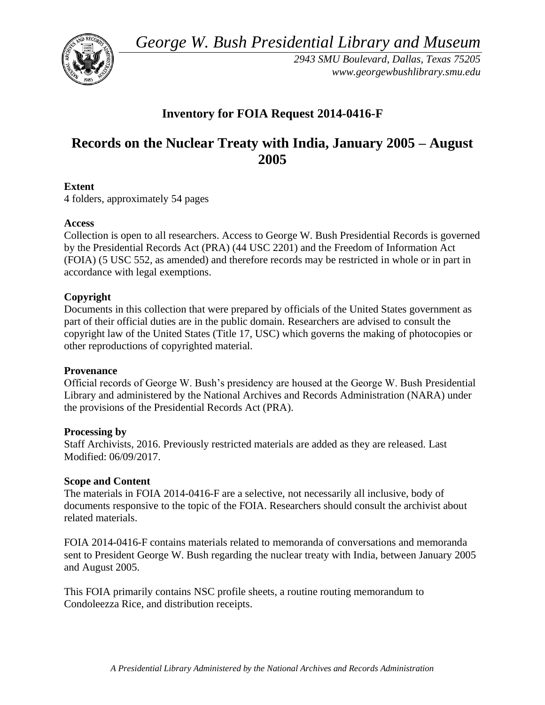*George W. Bush Presidential Library and Museum* 



*2943 SMU Boulevard, Dallas, Texas 75205 <www.georgewbushlibrary.smu.edu>* 

# **Inventory for FOIA Request 2014-0416-F**

# **Records on the Nuclear Treaty with India, January 2005 – August 2005**

# **Extent**

4 folders, approximately 54 pages

### **Access**

Collection is open to all researchers. Access to George W. Bush Presidential Records is governed by the Presidential Records Act (PRA) (44 USC 2201) and the Freedom of Information Act (FOIA) (5 USC 552, as amended) and therefore records may be restricted in whole or in part in accordance with legal exemptions.

# **Copyright**

 Documents in this collection that were prepared by officials of the United States government as part of their official duties are in the public domain. Researchers are advised to consult the copyright law of the United States (Title 17, USC) which governs the making of photocopies or other reproductions of copyrighted material.

### **Provenance**

Official records of George W. Bush's presidency are housed at the George W. Bush Presidential Library and administered by the National Archives and Records Administration (NARA) under the provisions of the Presidential Records Act (PRA).

### **Processing by**

Staff Archivists, 2016. Previously restricted materials are added as they are released. Last Modified: 06/09/2017.

### **Scope and Content**

 documents responsive to the topic of the FOIA. Researchers should consult the archivist about The materials in FOIA 2014-0416-F are a selective, not necessarily all inclusive, body of related materials.

FOIA 2014-0416-F contains materials related to memoranda of conversations and memoranda sent to President George W. Bush regarding the nuclear treaty with India, between January 2005 and August 2005.

This FOIA primarily contains NSC profile sheets, a routine routing memorandum to Condoleezza Rice, and distribution receipts.